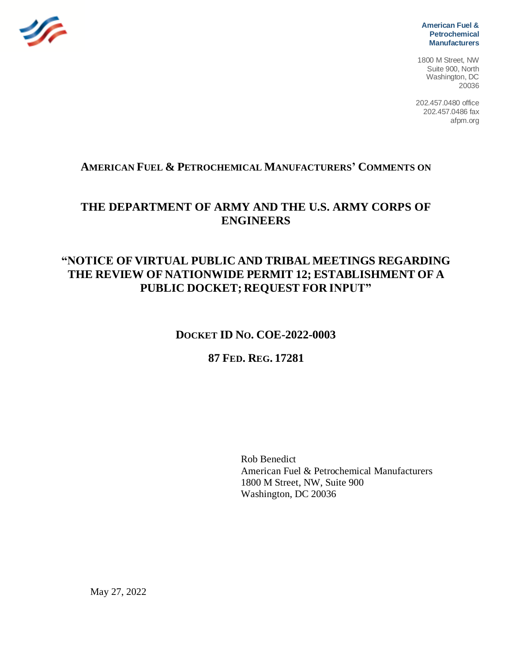

**American Fuel & Petrochemical Manufacturers**

1800 M Street, NW Suite 900, North Washington, DC 20036

202.457.0480 office 202.457.0486 fax afpm.org

## **AMERICAN FUEL & PETROCHEMICAL MANUFACTURERS' COMMENTS ON**

# **THE DEPARTMENT OF ARMY AND THE U.S. ARMY CORPS OF ENGINEERS**

# **"NOTICE OF VIRTUAL PUBLIC AND TRIBAL MEETINGS REGARDING THE REVIEW OF NATIONWIDE PERMIT 12; ESTABLISHMENT OF A PUBLIC DOCKET; REQUEST FOR INPUT"**

## **DOCKET ID NO. COE-2022-0003**

## **87 FED. REG. 17281**

Rob Benedict American Fuel & Petrochemical Manufacturers 1800 M Street, NW, Suite 900 Washington, DC 20036

May 27, 2022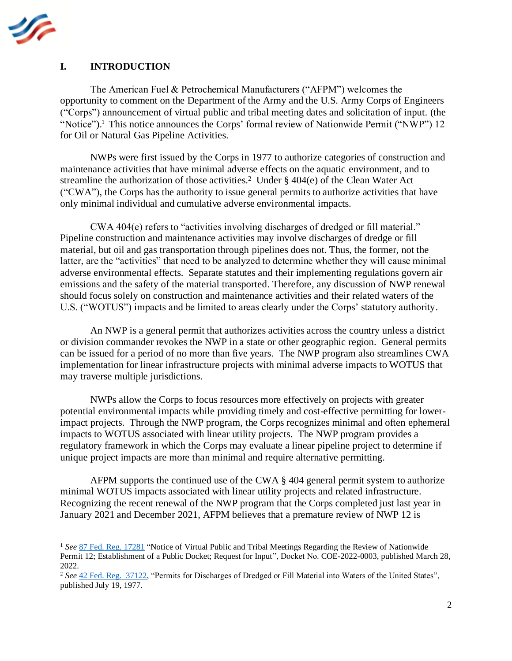

#### **I. INTRODUCTION**

The American Fuel & Petrochemical Manufacturers ("AFPM") welcomes the opportunity to comment on the Department of the Army and the U.S. Army Corps of Engineers ("Corps") announcement of virtual public and tribal meeting dates and solicitation of input. (the "Notice").<sup>1</sup> This notice announces the Corps' formal review of Nationwide Permit ("NWP") 12 for Oil or Natural Gas Pipeline Activities.

NWPs were first issued by the Corps in 1977 to authorize categories of construction and maintenance activities that have minimal adverse effects on the aquatic environment, and to streamline the authorization of those activities.<sup>2</sup> Under  $\S$  404 $(e)$  of the Clean Water Act ("CWA"), the Corps has the authority to issue general permits to authorize activities that have only minimal individual and cumulative adverse environmental impacts.

CWA 404(e) refers to "activities involving discharges of dredged or fill material." Pipeline construction and maintenance activities may involve discharges of dredge or fill material, but oil and gas transportation through pipelines does not. Thus, the former, not the latter, are the "activities" that need to be analyzed to determine whether they will cause minimal adverse environmental effects. Separate statutes and their implementing regulations govern air emissions and the safety of the material transported. Therefore, any discussion of NWP renewal should focus solely on construction and maintenance activities and their related waters of the U.S. ("WOTUS") impacts and be limited to areas clearly under the Corps' statutory authority.

An NWP is a general permit that authorizes activities across the country unless a district or division commander revokes the NWP in a state or other geographic region. General permits can be issued for a period of no more than five years. The NWP program also streamlines CWA implementation for linear infrastructure projects with minimal adverse impacts to WOTUS that may traverse multiple jurisdictions.

NWPs allow the Corps to focus resources more effectively on projects with greater potential environmental impacts while providing timely and cost-effective permitting for lowerimpact projects. Through the NWP program, the Corps recognizes minimal and often ephemeral impacts to WOTUS associated with linear utility projects. The NWP program provides a regulatory framework in which the Corps may evaluate a linear pipeline project to determine if unique project impacts are more than minimal and require alternative permitting.

AFPM supports the continued use of the CWA § 404 general permit system to authorize minimal WOTUS impacts associated with linear utility projects and related infrastructure. Recognizing the recent renewal of the NWP program that the Corps completed just last year in January 2021 and December 2021, AFPM believes that a premature review of NWP 12 is

<sup>1</sup> *See* 87 [Fed. Reg. 17281](https://www.federalregister.gov/documents/2022/03/28/2022-06458/notice-of-virtual-public-and-tribal-meetings-regarding-the-review-of-nationwide-permit-12) "Notice of Virtual Public and Tribal Meetings Regarding the Review of Nationwide Permit 12; Establishment of a Public Docket; Request for Input", Docket No. COE-2022-0003, published March 28, 2022.

<sup>2</sup> *See* [42 Fed. Reg. 37122,](https://s3.amazonaws.com/archives.federalregister.gov/issue_slice/1977/7/19/37088-37142.pdf#page=35) "Permits for Discharges of Dredged or Fill Material into Waters of the United States", published July 19, 1977.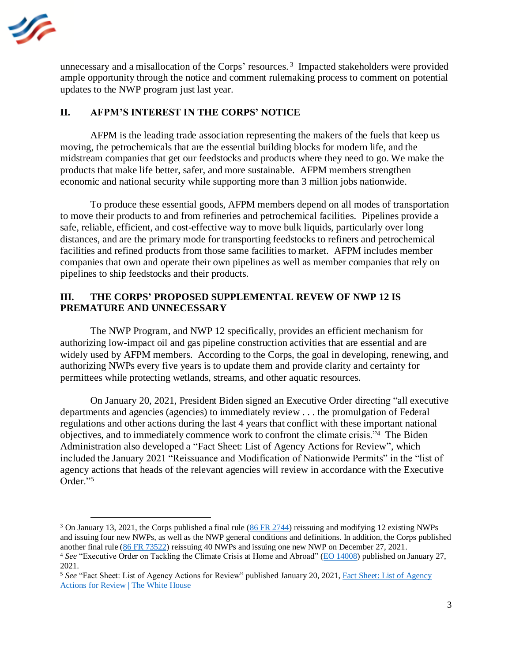

unnecessary and a misallocation of the Corps' resources.<sup>3</sup> Impacted stakeholders were provided ample opportunity through the notice and comment rulemaking process to comment on potential updates to the NWP program just last year.

### **II. AFPM'S INTEREST IN THE CORPS' NOTICE**

AFPM is the leading trade association representing the makers of the fuels that keep us moving, the petrochemicals that are the essential building blocks for modern life, and the midstream companies that get our feedstocks and products where they need to go. We make the products that make life better, safer, and more sustainable. AFPM members strengthen economic and national security while supporting more than 3 million jobs nationwide.

To produce these essential goods, AFPM members depend on all modes of transportation to move their products to and from refineries and petrochemical facilities. Pipelines provide a safe, reliable, efficient, and cost-effective way to move bulk liquids, particularly over long distances, and are the primary mode for transporting feedstocks to refiners and petrochemical facilities and refined products from those same facilities to market. AFPM includes member companies that own and operate their own pipelines as well as member companies that rely on pipelines to ship feedstocks and their products.

### **III. THE CORPS' PROPOSED SUPPLEMENTAL REVEW OF NWP 12 IS PREMATURE AND UNNECESSARY**

The NWP Program, and NWP 12 specifically, provides an efficient mechanism for authorizing low-impact oil and gas pipeline construction activities that are essential and are widely used by AFPM members. According to the Corps, the goal in developing, renewing, and authorizing NWPs every five years is to update them and provide clarity and certainty for permittees while protecting wetlands, streams, and other aquatic resources.

On January 20, 2021, President Biden signed an Executive Order directing "all executive departments and agencies (agencies) to immediately review . . . the promulgation of Federal regulations and other actions during the last 4 years that conflict with these important national objectives, and to immediately commence work to confront the climate crisis."<sup>4</sup> The Biden Administration also developed a "Fact Sheet: List of Agency Actions for Review", which included the January 2021 "Reissuance and Modification of Nationwide Permits" in the "list of agency actions that heads of the relevant agencies will review in accordance with the Executive Order."<sup>5</sup>

<sup>&</sup>lt;sup>3</sup> On January 13, 2021, the Corps published a final rule [\(86 FR 2744\)](https://www.federalregister.gov/documents/2021/01/13/2021-00102/reissuance-and-modification-of-nationwide-permits) reissuing and modifying 12 existing NWPs and issuing four new NWPs, as well as the NWP general conditions and definitions. In addition, the Corps published another final rule [\(86 FR 73522\)](https://www.federalregister.gov/documents/2021/12/27/2021-27441/reissuance-and-modification-of-nationwide-permits) reissuing 40 NWPs and issuing one new NWP on December 27, 2021.

<sup>4</sup> *See* "Executive Order on Tackling the Climate Crisis at Home and Abroad" [\(EO 14008\)](https://www.whitehouse.gov/briefing-room/presidential-actions/2021/01/27/executive-order-on-tackling-the-climate-crisis-at-home-and-abroad/) published on January 27, 2021.

<sup>5</sup> *See* "Fact Sheet: List of Agency Actions for Review" published January 20, 2021[, Fact Sheet: List of Agency](https://www.whitehouse.gov/briefing-room/statements-releases/2021/01/20/fact-sheet-list-of-agency-actions-for-review/)  [Actions for Review | The White House](https://www.whitehouse.gov/briefing-room/statements-releases/2021/01/20/fact-sheet-list-of-agency-actions-for-review/)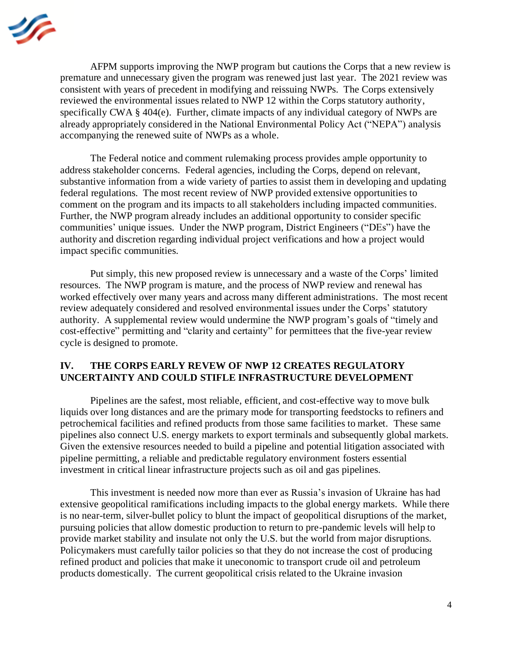

AFPM supports improving the NWP program but cautions the Corps that a new review is premature and unnecessary given the program was renewed just last year. The 2021 review was consistent with years of precedent in modifying and reissuing NWPs. The Corps extensively reviewed the environmental issues related to NWP 12 within the Corps statutory authority, specifically CWA § 404(e). Further, climate impacts of any individual category of NWPs are already appropriately considered in the National Environmental Policy Act ("NEPA") analysis accompanying the renewed suite of NWPs as a whole.

The Federal notice and comment rulemaking process provides ample opportunity to address stakeholder concerns. Federal agencies, including the Corps, depend on relevant, substantive information from a wide variety of parties to assist them in developing and updating federal regulations. The most recent review of NWP provided extensive opportunities to comment on the program and its impacts to all stakeholders including impacted communities. Further, the NWP program already includes an additional opportunity to consider specific communities' unique issues. Under the NWP program, District Engineers ("DEs") have the authority and discretion regarding individual project verifications and how a project would impact specific communities.

Put simply, this new proposed review is unnecessary and a waste of the Corps' limited resources. The NWP program is mature, and the process of NWP review and renewal has worked effectively over many years and across many different administrations. The most recent review adequately considered and resolved environmental issues under the Corps' statutory authority. A supplemental review would undermine the NWP program's goals of "timely and cost-effective" permitting and "clarity and certainty" for permittees that the five-year review cycle is designed to promote.

#### **IV. THE CORPS EARLY REVEW OF NWP 12 CREATES REGULATORY UNCERTAINTY AND COULD STIFLE INFRASTRUCTURE DEVELOPMENT**

Pipelines are the safest, most reliable, efficient, and cost-effective way to move bulk liquids over long distances and are the primary mode for transporting feedstocks to refiners and petrochemical facilities and refined products from those same facilities to market. These same pipelines also connect U.S. energy markets to export terminals and subsequently global markets. Given the extensive resources needed to build a pipeline and potential litigation associated with pipeline permitting, a reliable and predictable regulatory environment fosters essential investment in critical linear infrastructure projects such as oil and gas pipelines.

This investment is needed now more than ever as Russia's invasion of Ukraine has had extensive geopolitical ramifications including impacts to the global energy markets. While there is no near-term, silver-bullet policy to blunt the impact of geopolitical disruptions of the market, pursuing policies that allow domestic production to return to pre-pandemic levels will help to provide market stability and insulate not only the U.S. but the world from major disruptions. Policymakers must carefully tailor policies so that they do not increase the cost of producing refined product and policies that make it uneconomic to transport crude oil and petroleum products domestically. The current geopolitical crisis related to the Ukraine invasion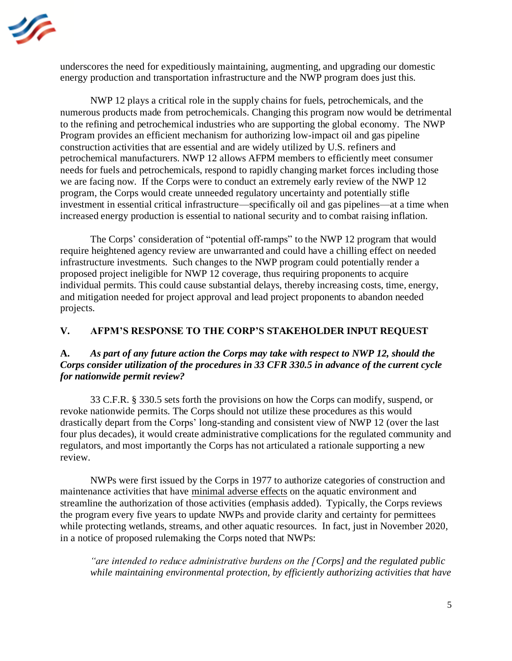

underscores the need for expeditiously maintaining, augmenting, and upgrading our domestic energy production and transportation infrastructure and the NWP program does just this.

NWP 12 plays a critical role in the supply chains for fuels, petrochemicals, and the numerous products made from petrochemicals. Changing this program now would be detrimental to the refining and petrochemical industries who are supporting the global economy. The NWP Program provides an efficient mechanism for authorizing low-impact oil and gas pipeline construction activities that are essential and are widely utilized by U.S. refiners and petrochemical manufacturers. NWP 12 allows AFPM members to efficiently meet consumer needs for fuels and petrochemicals, respond to rapidly changing market forces including those we are facing now. If the Corps were to conduct an extremely early review of the NWP 12 program, the Corps would create unneeded regulatory uncertainty and potentially stifle investment in essential critical infrastructure—specifically oil and gas pipelines—at a time when increased energy production is essential to national security and to combat raising inflation.

The Corps' consideration of "potential off-ramps" to the NWP 12 program that would require heightened agency review are unwarranted and could have a chilling effect on needed infrastructure investments. Such changes to the NWP program could potentially render a proposed project ineligible for NWP 12 coverage, thus requiring proponents to acquire individual permits. This could cause substantial delays, thereby increasing costs, time, energy, and mitigation needed for project approval and lead project proponents to abandon needed projects.

### **V. AFPM'S RESPONSE TO THE CORP'S STAKEHOLDER INPUT REQUEST**

### **A.** *As part of any future action the Corps may take with respect to NWP 12, should the Corps consider utilization of the procedures in 33 CFR 330.5 in advance of the current cycle for nationwide permit review?*

33 C.F.R. § 330.5 sets forth the provisions on how the Corps can modify, suspend, or revoke nationwide permits. The Corps should not utilize these procedures as this would drastically depart from the Corps' long-standing and consistent view of NWP 12 (over the last four plus decades), it would create administrative complications for the regulated community and regulators, and most importantly the Corps has not articulated a rationale supporting a new review.

NWPs were first issued by the Corps in 1977 to authorize categories of construction and maintenance activities that have minimal adverse effects on the aquatic environment and streamline the authorization of those activities (emphasis added). Typically, the Corps reviews the program every five years to update NWPs and provide clarity and certainty for permittees while protecting wetlands, streams, and other aquatic resources. In fact, just in November 2020, in a notice of proposed rulemaking the Corps noted that NWPs:

*"are intended to reduce administrative burdens on the [Corps] and the regulated public while maintaining environmental protection, by efficiently authorizing activities that have*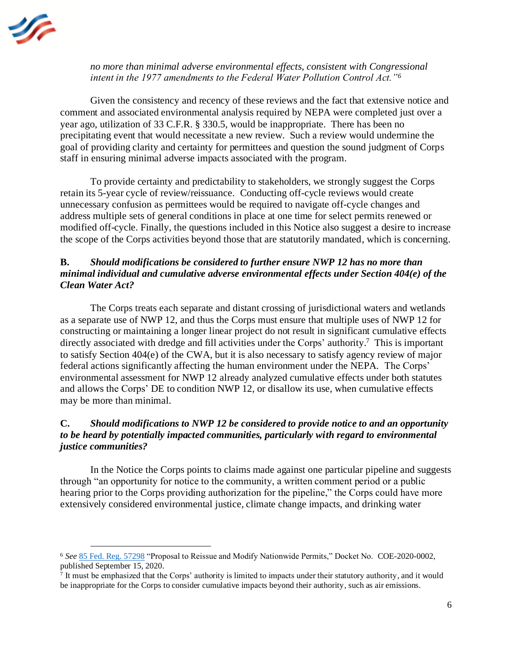

*no more than minimal adverse environmental effects, consistent with Congressional intent in the 1977 amendments to the Federal Water Pollution Control Act."<sup>6</sup>* 

Given the consistency and recency of these reviews and the fact that extensive notice and comment and associated environmental analysis required by NEPA were completed just over a year ago, utilization of 33 C.F.R. § 330.5, would be inappropriate. There has been no precipitating event that would necessitate a new review. Such a review would undermine the goal of providing clarity and certainty for permittees and question the sound judgment of Corps staff in ensuring minimal adverse impacts associated with the program.

To provide certainty and predictability to stakeholders, we strongly suggest the Corps retain its 5-year cycle of review/reissuance. Conducting off-cycle reviews would create unnecessary confusion as permittees would be required to navigate off-cycle changes and address multiple sets of general conditions in place at one time for select permits renewed or modified off-cycle. Finally, the questions included in this Notice also suggest a desire to increase the scope of the Corps activities beyond those that are statutorily mandated, which is concerning.

#### **B.** *Should modifications be considered to further ensure NWP 12 has no more than minimal individual and cumulative adverse environmental effects under Section 404(e) of the Clean Water Act?*

The Corps treats each separate and distant crossing of jurisdictional waters and wetlands as a separate use of NWP 12, and thus the Corps must ensure that multiple uses of NWP 12 for constructing or maintaining a longer linear project do not result in significant cumulative effects directly associated with dredge and fill activities under the Corps' authority. 7 This is important to satisfy Section 404(e) of the CWA, but it is also necessary to satisfy agency review of major federal actions significantly affecting the human environment under the NEPA. The Corps' environmental assessment for NWP 12 already analyzed cumulative effects under both statutes and allows the Corps' DE to condition NWP 12, or disallow its use, when cumulative effects may be more than minimal.

### **C.** *Should modifications to NWP 12 be considered to provide notice to and an opportunity to be heard by potentially impacted communities, particularly with regard to environmental justice communities?*

In the Notice the Corps points to claims made against one particular pipeline and suggests through "an opportunity for notice to the community, a written comment period or a public hearing prior to the Corps providing authorization for the pipeline," the Corps could have more extensively considered environmental justice, climate change impacts, and drinking water

<sup>6</sup> *See* [85 Fed. Reg. 57298](https://www.govinfo.gov/content/pkg/FR-2020-09-15/pdf/2020-17116.pdf) "Proposal to Reissue and Modify Nationwide Permits," Docket No. COE-2020-0002, published September 15, 2020.

<sup>7</sup> It must be emphasized that the Corps' authority is limited to impacts under their statutory authority, and it would be inappropriate for the Corps to consider cumulative impacts beyond their authority, such as air emissions.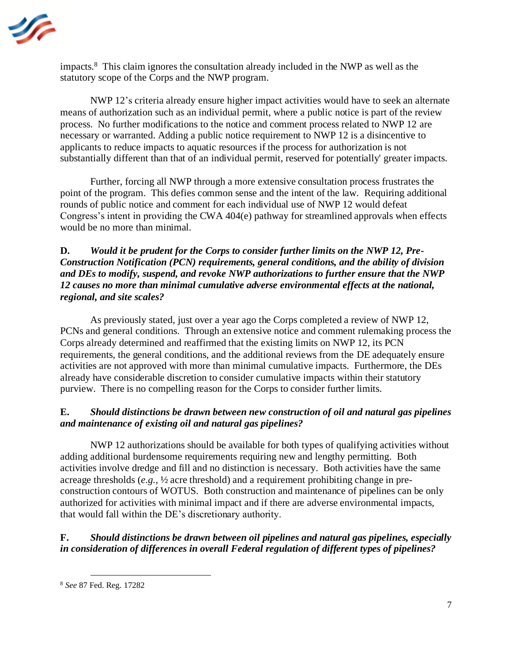

impacts.<sup>8</sup> This claim ignores the consultation already included in the NWP as well as the statutory scope of the Corps and the NWP program.

NWP 12's criteria already ensure higher impact activities would have to seek an alternate means of authorization such as an individual permit, where a public notice is part of the review process. No further modifications to the notice and comment process related to NWP 12 are necessary or warranted. Adding a public notice requirement to NWP 12 is a disincentive to applicants to reduce impacts to aquatic resources if the process for authorization is not substantially different than that of an individual permit, reserved for potentially' greater impacts.

Further, forcing all NWP through a more extensive consultation process frustrates the point of the program. This defies common sense and the intent of the law. Requiring additional rounds of public notice and comment for each individual use of NWP 12 would defeat Congress's intent in providing the CWA 404(e) pathway for streamlined approvals when effects would be no more than minimal.

## **D.** *Would it be prudent for the Corps to consider further limits on the NWP 12, Pre-Construction Notification (PCN) requirements, general conditions, and the ability of division and DEs to modify, suspend, and revoke NWP authorizations to further ensure that the NWP 12 causes no more than minimal cumulative adverse environmental effects at the national, regional, and site scales?*

As previously stated, just over a year ago the Corps completed a review of NWP 12, PCNs and general conditions. Through an extensive notice and comment rulemaking process the Corps already determined and reaffirmed that the existing limits on NWP 12, its PCN requirements, the general conditions, and the additional reviews from the DE adequately ensure activities are not approved with more than minimal cumulative impacts. Furthermore, the DEs already have considerable discretion to consider cumulative impacts within their statutory purview. There is no compelling reason for the Corps to consider further limits.

## **E.** *Should distinctions be drawn between new construction of oil and natural gas pipelines and maintenance of existing oil and natural gas pipelines?*

NWP 12 authorizations should be available for both types of qualifying activities without adding additional burdensome requirements requiring new and lengthy permitting. Both activities involve dredge and fill and no distinction is necessary. Both activities have the same acreage thresholds (*e.g.,* ½ acre threshold) and a requirement prohibiting change in preconstruction contours of WOTUS. Both construction and maintenance of pipelines can be only authorized for activities with minimal impact and if there are adverse environmental impacts, that would fall within the DE's discretionary authority.

## **F.** *Should distinctions be drawn between oil pipelines and natural gas pipelines, especially in consideration of differences in overall Federal regulation of different types of pipelines?*

<sup>8</sup> *See* 87 Fed. Reg. 17282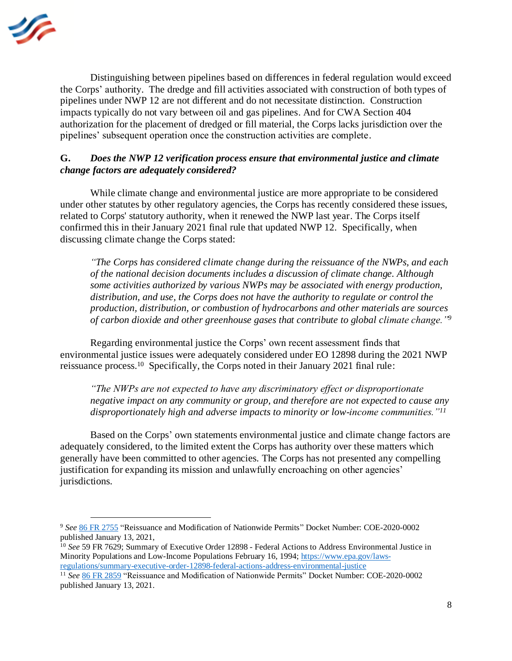

Distinguishing between pipelines based on differences in federal regulation would exceed the Corps' authority. The dredge and fill activities associated with construction of both types of pipelines under NWP 12 are not different and do not necessitate distinction. Construction impacts typically do not vary between oil and gas pipelines. And for CWA Section 404 authorization for the placement of dredged or fill material, the Corps lacks jurisdiction over the pipelines' subsequent operation once the construction activities are complete.

#### **G.** *Does the NWP 12 verification process ensure that environmental justice and climate change factors are adequately considered?*

While climate change and environmental justice are more appropriate to be considered under other statutes by other regulatory agencies, the Corps has recently considered these issues, related to Corps' statutory authority, when it renewed the NWP last year. The Corps itself confirmed this in their January 2021 final rule that updated NWP 12. Specifically, when discussing climate change the Corps stated:

*"The Corps has considered climate change during the reissuance of the NWPs, and each of the national decision documents includes a discussion of climate change. Although some activities authorized by various NWPs may be associated with energy production, distribution, and use, the Corps does not have the authority to regulate or control the production, distribution, or combustion of hydrocarbons and other materials are sources of carbon dioxide and other greenhouse gases that contribute to global climate change."<sup>9</sup>*

Regarding environmental justice the Corps' own recent assessment finds that environmental justice issues were adequately considered under EO 12898 during the 2021 NWP reissuance process. 10 Specifically, the Corps noted in their January 2021 final rule:

*"The NWPs are not expected to have any discriminatory effect or disproportionate negative impact on any community or group, and therefore are not expected to cause any disproportionately high and adverse impacts to minority or low-income communities."<sup>11</sup>*

Based on the Corps' own statements environmental justice and climate change factors are adequately considered, to the limited extent the Corps has authority over these matters which generally have been committed to other agencies. The Corps has not presented any compelling justification for expanding its mission and unlawfully encroaching on other agencies' jurisdictions.

<sup>9</sup> *See* [86 FR 2755](https://www.federalregister.gov/documents/2021/01/13/2021-00102/reissuance-and-modification-of-nationwide-permits) "Reissuance and Modification of Nationwide Permits" Docket Number: COE-2020-0002 published January 13, 2021,

<sup>&</sup>lt;sup>10</sup> See 59 FR 7629; Summary of Executive Order 12898 - Federal Actions to Address Environmental Justice in Minority Populations and Low-Income Populations February 16, 1994[; https://www.epa.gov/laws](https://www.epa.gov/laws-regulations/summary-executive-order-12898-federal-actions-address-environmental-justice)[regulations/summary-executive-order-12898-federal-actions-address-environmental-justice](https://www.epa.gov/laws-regulations/summary-executive-order-12898-federal-actions-address-environmental-justice)

<sup>11</sup> *See* [86 FR](https://www.federalregister.gov/documents/2021/01/13/2021-00102/reissuance-and-modification-of-nationwide-permits) 2859 "Reissuance and Modification of Nationwide Permits" Docket Number: COE-2020-0002 published January 13, 2021.